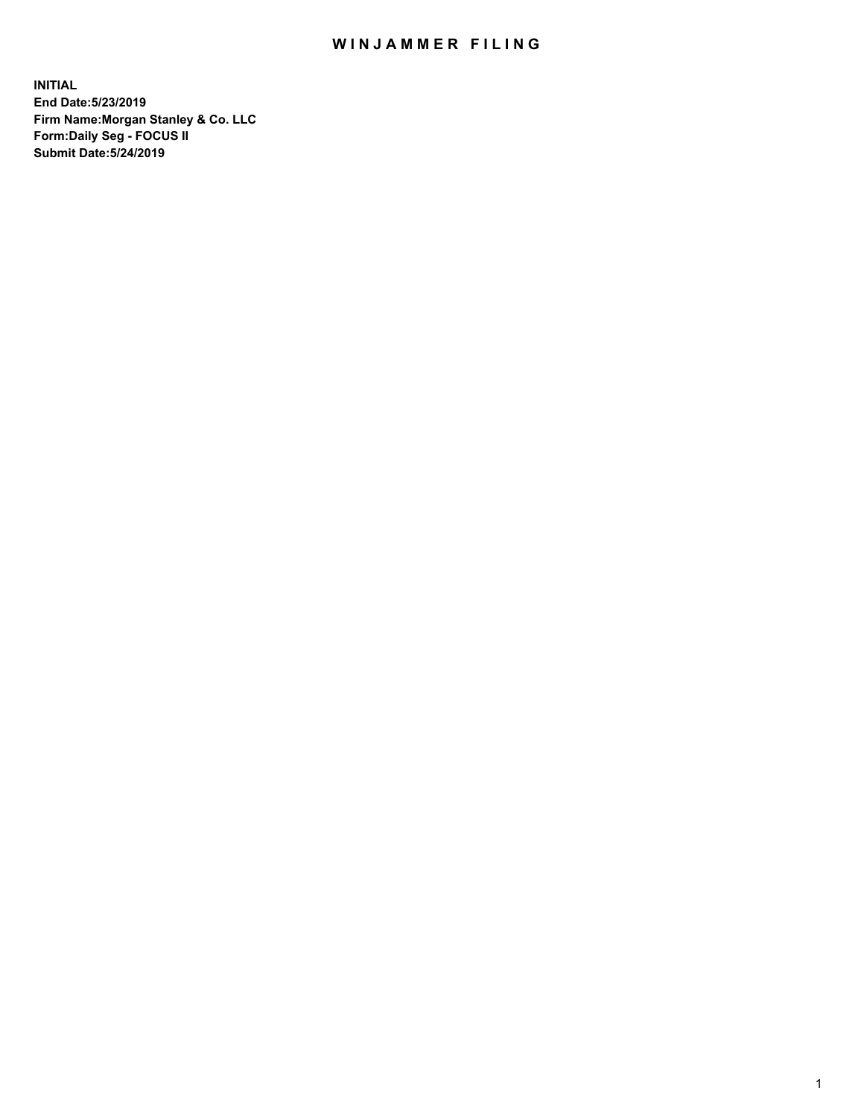## WIN JAMMER FILING

**INITIAL End Date:5/23/2019 Firm Name:Morgan Stanley & Co. LLC Form:Daily Seg - FOCUS II Submit Date:5/24/2019**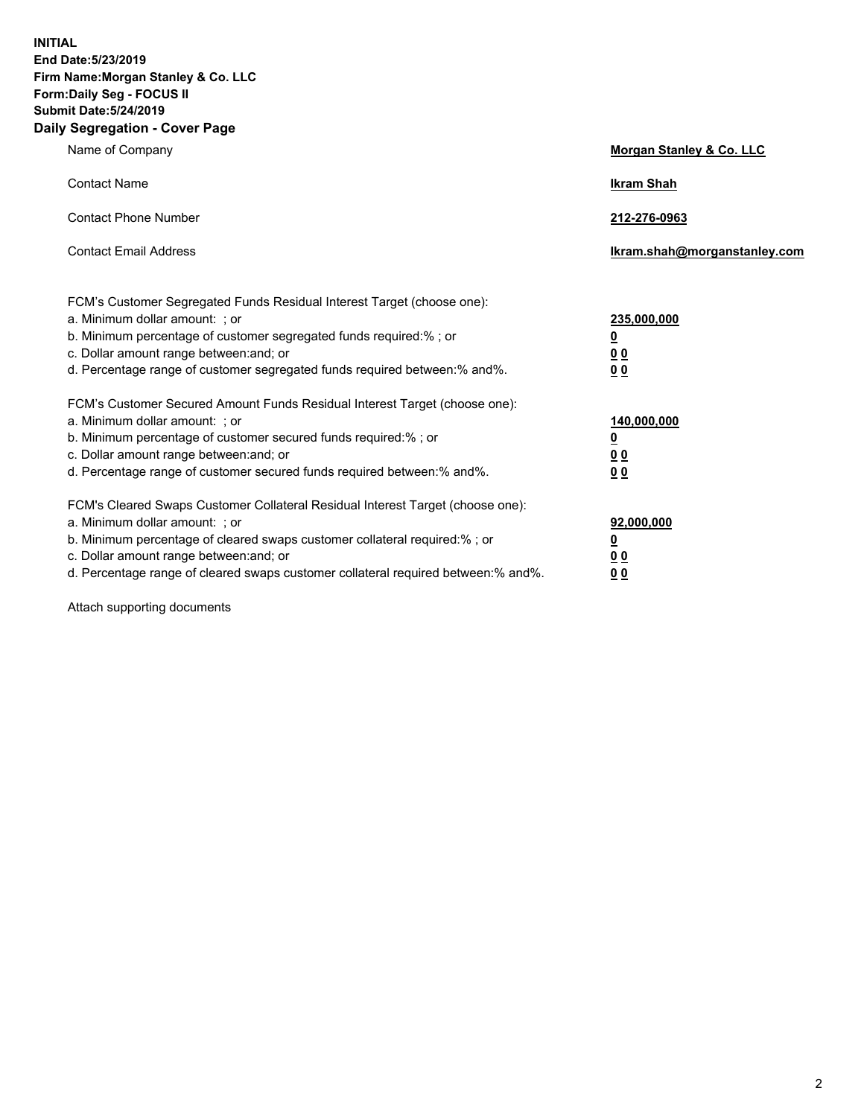**INITIAL End Date:5/23/2019 Firm Name:Morgan Stanley & Co. LLC Form:Daily Seg - FOCUS II Submit Date:5/24/2019 Daily Segregation - Cover Page**

| Name of Company                                                                                                                                                                                                                                                                                                                | Morgan Stanley & Co. LLC                                    |
|--------------------------------------------------------------------------------------------------------------------------------------------------------------------------------------------------------------------------------------------------------------------------------------------------------------------------------|-------------------------------------------------------------|
| <b>Contact Name</b>                                                                                                                                                                                                                                                                                                            | <b>Ikram Shah</b>                                           |
| <b>Contact Phone Number</b>                                                                                                                                                                                                                                                                                                    | 212-276-0963                                                |
| <b>Contact Email Address</b>                                                                                                                                                                                                                                                                                                   | Ikram.shah@morganstanley.com                                |
| FCM's Customer Segregated Funds Residual Interest Target (choose one):<br>a. Minimum dollar amount: ; or<br>b. Minimum percentage of customer segregated funds required:% ; or<br>c. Dollar amount range between: and; or<br>d. Percentage range of customer segregated funds required between:% and%.                         | 235,000,000<br><u>0</u><br>0 <sub>0</sub><br>0 <sub>0</sub> |
| FCM's Customer Secured Amount Funds Residual Interest Target (choose one):<br>a. Minimum dollar amount: ; or<br>b. Minimum percentage of customer secured funds required:%; or<br>c. Dollar amount range between: and; or<br>d. Percentage range of customer secured funds required between:% and%.                            | 140,000,000<br><u>0</u><br>0 <sub>0</sub><br>0 <sub>0</sub> |
| FCM's Cleared Swaps Customer Collateral Residual Interest Target (choose one):<br>a. Minimum dollar amount: ; or<br>b. Minimum percentage of cleared swaps customer collateral required:% ; or<br>c. Dollar amount range between: and; or<br>d. Percentage range of cleared swaps customer collateral required between:% and%. | 92,000,000<br><u>0</u><br><u>00</u><br>0 <sub>0</sub>       |

Attach supporting documents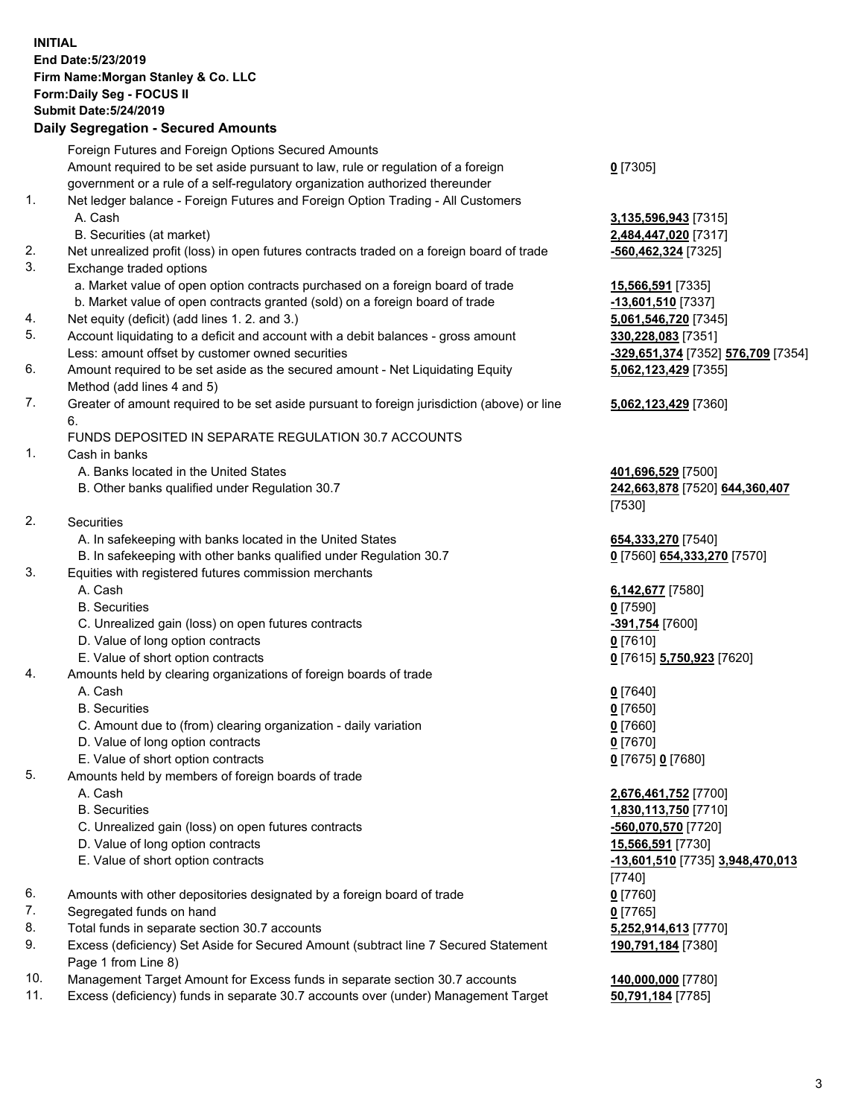## **INITIAL End Date:5/23/2019 Firm Name:Morgan Stanley & Co. LLC Form:Daily Seg - FOCUS II Submit Date:5/24/2019 Daily Segregation - Secured Amounts**

|    | Foreign Futures and Foreign Options Secured Amounts                                                                             |                                     |
|----|---------------------------------------------------------------------------------------------------------------------------------|-------------------------------------|
|    | Amount required to be set aside pursuant to law, rule or regulation of a foreign                                                | $0$ [7305]                          |
|    | government or a rule of a self-regulatory organization authorized thereunder                                                    |                                     |
| 1. | Net ledger balance - Foreign Futures and Foreign Option Trading - All Customers                                                 |                                     |
|    | A. Cash                                                                                                                         | 3,135,596,943 [7315]                |
|    | B. Securities (at market)                                                                                                       | 2,484,447,020 [7317]                |
| 2. | Net unrealized profit (loss) in open futures contracts traded on a foreign board of trade                                       | -560,462,324 [7325]                 |
| 3. | Exchange traded options                                                                                                         |                                     |
|    | a. Market value of open option contracts purchased on a foreign board of trade                                                  | 15,566,591 [7335]                   |
|    | b. Market value of open contracts granted (sold) on a foreign board of trade                                                    | -13,601,510 [7337]                  |
| 4. | Net equity (deficit) (add lines 1.2. and 3.)                                                                                    | 5,061,546,720 [7345]                |
| 5. | Account liquidating to a deficit and account with a debit balances - gross amount                                               | 330,228,083 [7351]                  |
|    | Less: amount offset by customer owned securities                                                                                | <u>-329,651,374</u> [7352] <u>!</u> |
| 6. | Amount required to be set aside as the secured amount - Net Liquidating Equity                                                  | 5,062,123,429 [7355]                |
|    | Method (add lines 4 and 5)                                                                                                      |                                     |
| 7. | Greater of amount required to be set aside pursuant to foreign jurisdiction (above) or line                                     | 5,062,123,429 [7360]                |
|    | 6.                                                                                                                              |                                     |
|    | FUNDS DEPOSITED IN SEPARATE REGULATION 30.7 ACCOUNTS                                                                            |                                     |
| 1. | Cash in banks                                                                                                                   |                                     |
|    | A. Banks located in the United States                                                                                           | 401,696,529 [7500]                  |
|    | B. Other banks qualified under Regulation 30.7                                                                                  | 242,663,878 [7520] 6                |
| 2. |                                                                                                                                 | [7530]                              |
|    | Securities                                                                                                                      |                                     |
|    | A. In safekeeping with banks located in the United States<br>B. In safekeeping with other banks qualified under Regulation 30.7 | 654,333,270 [7540]                  |
| 3. | Equities with registered futures commission merchants                                                                           | 0 [7560] 654,333,270                |
|    | A. Cash                                                                                                                         | 6,142,677 [7580]                    |
|    | <b>B.</b> Securities                                                                                                            | $0$ [7590]                          |
|    | C. Unrealized gain (loss) on open futures contracts                                                                             | -391,754 [7600]                     |
|    | D. Value of long option contracts                                                                                               | $0$ [7610]                          |
|    | E. Value of short option contracts                                                                                              | 0 [7615] 5,750,923 [7               |
| 4. | Amounts held by clearing organizations of foreign boards of trade                                                               |                                     |
|    | A. Cash                                                                                                                         | $0$ [7640]                          |
|    | <b>B.</b> Securities                                                                                                            | $0$ [7650]                          |
|    | C. Amount due to (from) clearing organization - daily variation                                                                 | $0$ [7660]                          |
|    | D. Value of long option contracts                                                                                               | $0$ [7670]                          |
|    | E. Value of short option contracts                                                                                              | 0 [7675] 0 [7680]                   |
| 5. | Amounts held by members of foreign boards of trade                                                                              |                                     |
|    | A. Cash                                                                                                                         | 2,676,461,752 [7700]                |
|    | <b>B.</b> Securities                                                                                                            | 1,830,113,750 [7710]                |
|    | C. Unrealized gain (loss) on open futures contracts                                                                             | -560,070,570 [7720]                 |
|    | D. Value of long option contracts                                                                                               | 15,566,591 [7730]                   |
|    | E. Value of short option contracts                                                                                              | <u>-13,601,510</u> [7735] 3.        |
|    |                                                                                                                                 | [7740]                              |
| 6. | Amounts with other depositories designated by a foreign board of trade                                                          | $0$ [7760]                          |
| 7. | Segregated funds on hand                                                                                                        | $0$ [7765]                          |
| 8. | Total funds in separate section 30.7 accounts                                                                                   | 5,252,914,613 [7770]                |
| 9. | Excess (deficiency) Set Aside for Secured Amount (subtract line 7 Secured Statement                                             | 190,791,184 [7380]                  |
|    | Page 1 from Line 8)                                                                                                             |                                     |
|    |                                                                                                                                 |                                     |

- 10. Management Target Amount for Excess funds in separate section 30.7 accounts **140,000,000** [7780]
- 11. Excess (deficiency) funds in separate 30.7 accounts over (under) Management Target **50,791,184** [7785]

**96,943** [7315] B. Securities (at market) **2,484,447,020** [7317] 46,720 [7345] Less: amount offset by customer owned securities **-329,651,374** [7352] **576,709** [7354] **5,062,123,429** [7355]

**8.529** [7500] 8,878 [7520] **644,360,407** 

 $654,333,270$  [7570]

E. Value of short option contracts **0** [7615] **5,750,923** [7620]

 A. Cash **2,676,461,752** [7700] **13,750** [7710] C. Unrealized gain (loss) on open futures contracts **-560,070,570** [7720] E. Value of short option contracts **-13,601,510** [7735] **3,948,470,013 190,791,184** [7380]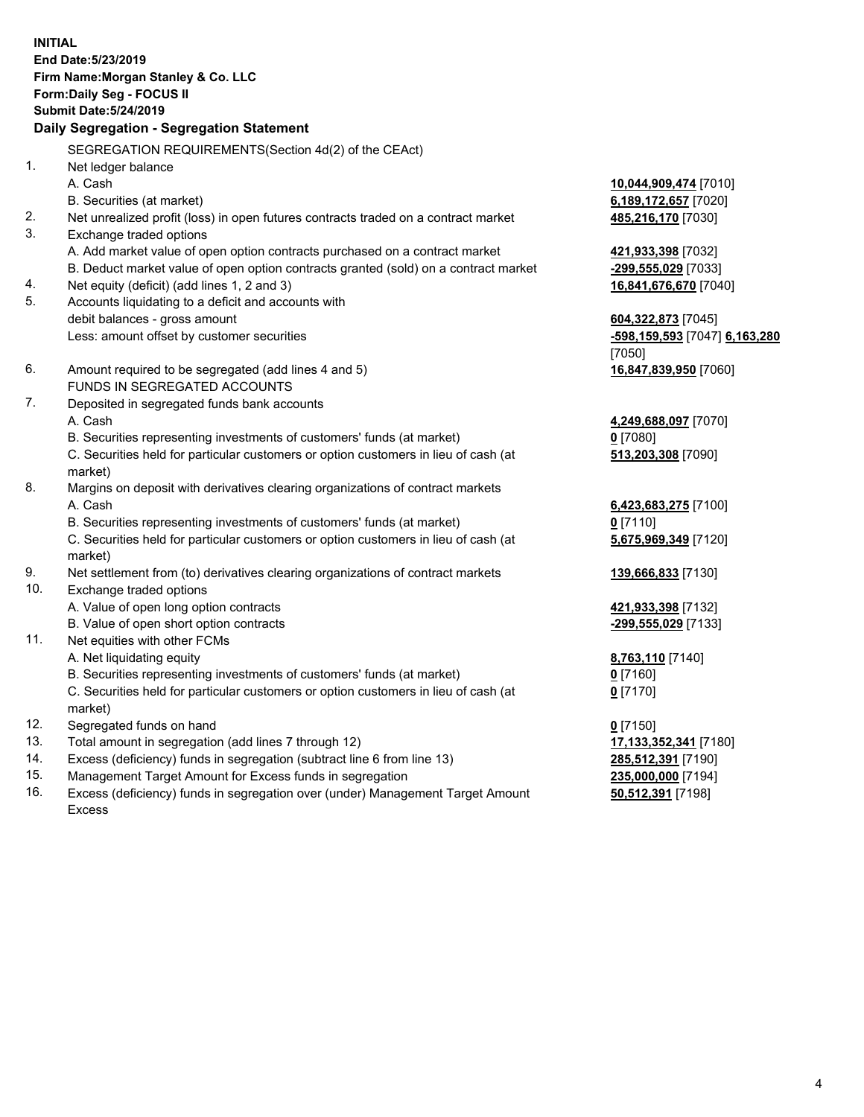**INITIAL End Date:5/23/2019 Firm Name:Morgan Stanley & Co. LLC Form:Daily Seg - FOCUS II Submit Date:5/24/2019 Daily Segregation - Segregation Statement** SEGREGATION REQUIREMENTS(Section 4d(2) of the CEAct) 1. Net ledger balance A. Cash **10,044,909,474** [7010] B. Securities (at market) **6,189,172,657** [7020] 2. Net unrealized profit (loss) in open futures contracts traded on a contract market **485,216,170** [7030] 3. Exchange traded options A. Add market value of open option contracts purchased on a contract market **421,933,398** [7032] B. Deduct market value of open option contracts granted (sold) on a contract market **-299,555,029** [7033] 4. Net equity (deficit) (add lines 1, 2 and 3) **16,841,676,670** [7040] 5. Accounts liquidating to a deficit and accounts with debit balances - gross amount **604,322,873** [7045] Less: amount offset by customer securities **-598,159,593** [7047] **6,163,280** [7050] 6. Amount required to be segregated (add lines 4 and 5) **16,847,839,950** [7060] FUNDS IN SEGREGATED ACCOUNTS 7. Deposited in segregated funds bank accounts A. Cash **4,249,688,097** [7070] B. Securities representing investments of customers' funds (at market) **0** [7080] C. Securities held for particular customers or option customers in lieu of cash (at market) **513,203,308** [7090] 8. Margins on deposit with derivatives clearing organizations of contract markets A. Cash **6,423,683,275** [7100] B. Securities representing investments of customers' funds (at market) **0** [7110] C. Securities held for particular customers or option customers in lieu of cash (at market) **5,675,969,349** [7120] 9. Net settlement from (to) derivatives clearing organizations of contract markets **139,666,833** [7130] 10. Exchange traded options A. Value of open long option contracts **421,933,398** [7132] B. Value of open short option contracts **-299,555,029** [7133] 11. Net equities with other FCMs A. Net liquidating equity **8,763,110** [7140] B. Securities representing investments of customers' funds (at market) **0** [7160] C. Securities held for particular customers or option customers in lieu of cash (at market) **0** [7170] 12. Segregated funds on hand **0** [7150] 13. Total amount in segregation (add lines 7 through 12) **17,133,352,341** [7180] 14. Excess (deficiency) funds in segregation (subtract line 6 from line 13) **285,512,391** [7190]

- 15. Management Target Amount for Excess funds in segregation **235,000,000** [7194]
- 16. Excess (deficiency) funds in segregation over (under) Management Target Amount Excess

**50,512,391** [7198]